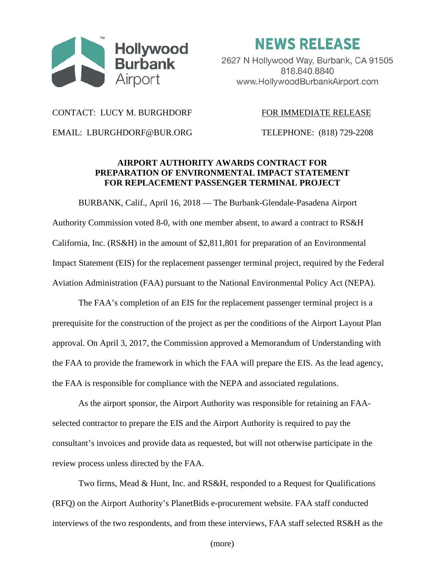

**NEWS RELEASE** 

2627 N Hollywood Way, Burbank, CA 91505 818.840.8840 www.HollywoodBurbankAirport.com

CONTACT: LUCY M. BURGHDORF FOR IMMEDIATE RELEASE

EMAIL: LBURGHDORF@BUR.ORG TELEPHONE: (818) 729-2208

## **AIRPORT AUTHORITY AWARDS CONTRACT FOR PREPARATION OF ENVIRONMENTAL IMPACT STATEMENT FOR REPLACEMENT PASSENGER TERMINAL PROJECT**

BURBANK, Calif., April 16, 2018 — The Burbank-Glendale-Pasadena Airport Authority Commission voted 8-0, with one member absent, to award a contract to RS&H California, Inc. (RS&H) in the amount of \$2,811,801 for preparation of an Environmental Impact Statement (EIS) for the replacement passenger terminal project, required by the Federal Aviation Administration (FAA) pursuant to the National Environmental Policy Act (NEPA).

The FAA's completion of an EIS for the replacement passenger terminal project is a prerequisite for the construction of the project as per the conditions of the Airport Layout Plan approval. On April 3, 2017, the Commission approved a Memorandum of Understanding with the FAA to provide the framework in which the FAA will prepare the EIS. As the lead agency, the FAA is responsible for compliance with the NEPA and associated regulations.

As the airport sponsor, the Airport Authority was responsible for retaining an FAAselected contractor to prepare the EIS and the Airport Authority is required to pay the consultant's invoices and provide data as requested, but will not otherwise participate in the review process unless directed by the FAA.

Two firms, Mead & Hunt, Inc. and RS&H, responded to a Request for Qualifications (RFQ) on the Airport Authority's PlanetBids e-procurement website. FAA staff conducted interviews of the two respondents, and from these interviews, FAA staff selected RS&H as the